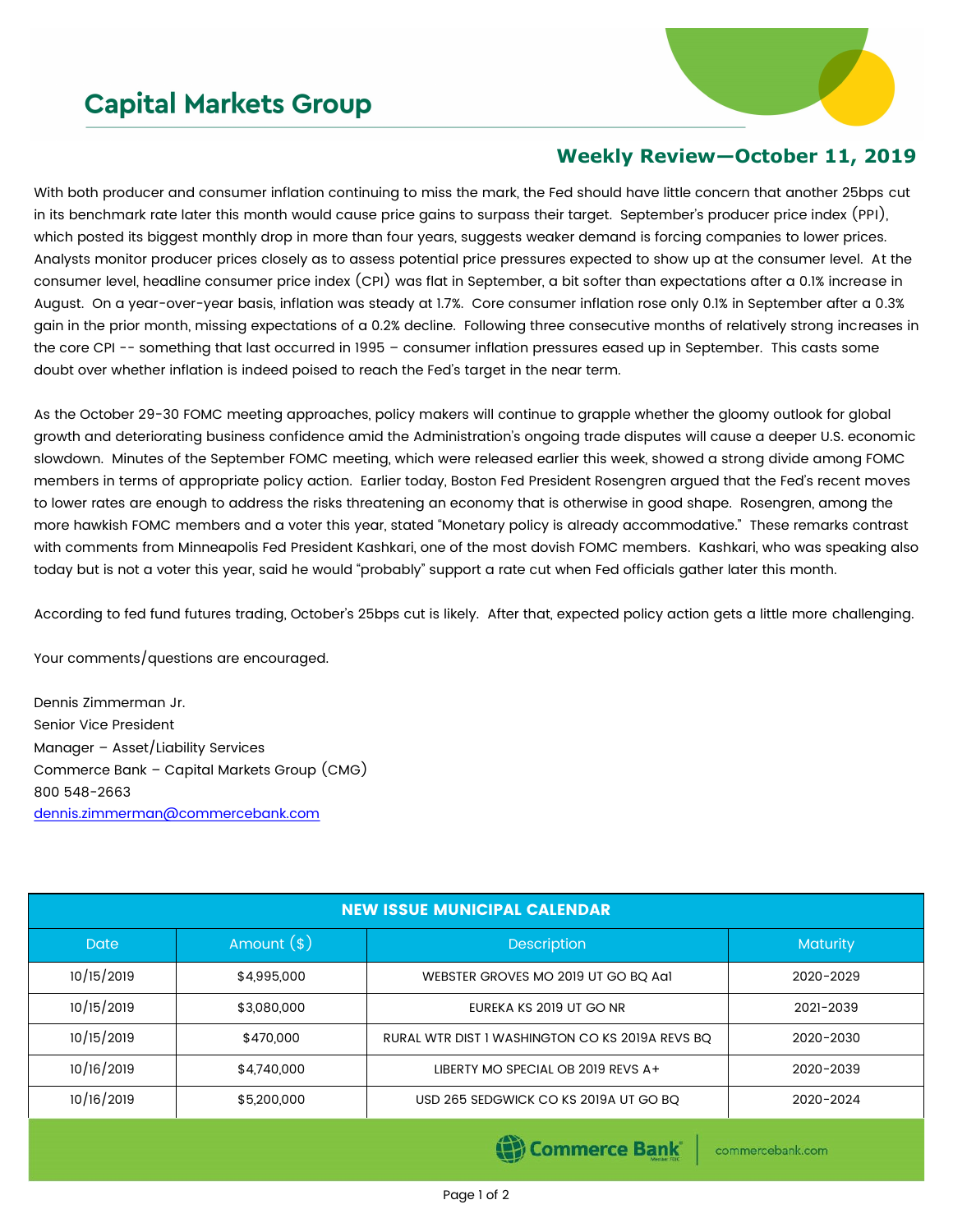## **Capital Markets Group**



## **Weekly Review—October 11, 2019**

With both producer and consumer inflation continuing to miss the mark, the Fed should have little concern that another 25bps cut in its benchmark rate later this month would cause price gains to surpass their target. September's producer price index (PPI), which posted its biggest monthly drop in more than four years, suggests weaker demand is forcing companies to lower prices. Analysts monitor producer prices closely as to assess potential price pressures expected to show up at the consumer level. At the consumer level, headline consumer price index (CPI) was flat in September, a bit softer than expectations after a 0.1% increase in August. On a year-over-year basis, inflation was steady at 1.7%. Core consumer inflation rose only 0.1% in September after a 0.3% gain in the prior month, missing expectations of a 0.2% decline. Following three consecutive months of relatively strong increases in the core CPI -- something that last occurred in 1995 – consumer inflation pressures eased up in September. This casts some doubt over whether inflation is indeed poised to reach the Fed's target in the near term.

As the October 29-30 FOMC meeting approaches, policy makers will continue to grapple whether the gloomy outlook for global growth and deteriorating business confidence amid the Administration's ongoing trade disputes will cause a deeper U.S. economic slowdown. Minutes of the September FOMC meeting, which were released earlier this week, showed a strong divide among FOMC members in terms of appropriate policy action. Earlier today, Boston Fed President Rosengren argued that the Fed's recent moves to lower rates are enough to address the risks threatening an economy that is otherwise in good shape. Rosengren, among the more hawkish FOMC members and a voter this year, stated "Monetary policy is already accommodative." These remarks contrast with comments from Minneapolis Fed President Kashkari, one of the most dovish FOMC members. Kashkari, who was speaking also today but is not a voter this year, said he would "probably" support a rate cut when Fed officials gather later this month.

According to fed fund futures trading, October's 25bps cut is likely. After that, expected policy action gets a little more challenging.

Your comments/questions are encouraged.

Dennis Zimmerman Jr. Senior Vice President Manager – Asset/Liability Services Commerce Bank – Capital Markets Group (CMG) 800 548-2663 [dennis.zimmerman@commercebank.com](mailto:dennis.zimmerman@commercebank.com)

| <b>NEW ISSUE MUNICIPAL CALENDAR</b> |              |                                                 |                 |  |  |
|-------------------------------------|--------------|-------------------------------------------------|-----------------|--|--|
| Date                                | Amount $(*)$ | <b>Description</b>                              | <b>Maturity</b> |  |  |
| 10/15/2019                          | \$4,995,000  | WEBSTER GROVES MO 2019 UT GO BO Aa1             | 2020-2029       |  |  |
| 10/15/2019                          | \$3,080,000  | EUREKA KS 2019 UT GO NR                         | 2021-2039       |  |  |
| 10/15/2019                          | \$470,000    | RURAL WTR DIST I WASHINGTON CO KS 2019A REVS BO | 2020-2030       |  |  |
| 10/16/2019                          | \$4,740,000  | LIBERTY MO SPECIAL OB 2019 REVS A+              | 2020-2039       |  |  |
| 10/16/2019                          | \$5,200,000  | USD 265 SEDGWICK CO KS 2019A UT GO BQ           | 2020-2024       |  |  |

(B) Commerce Bank

commercebank.com